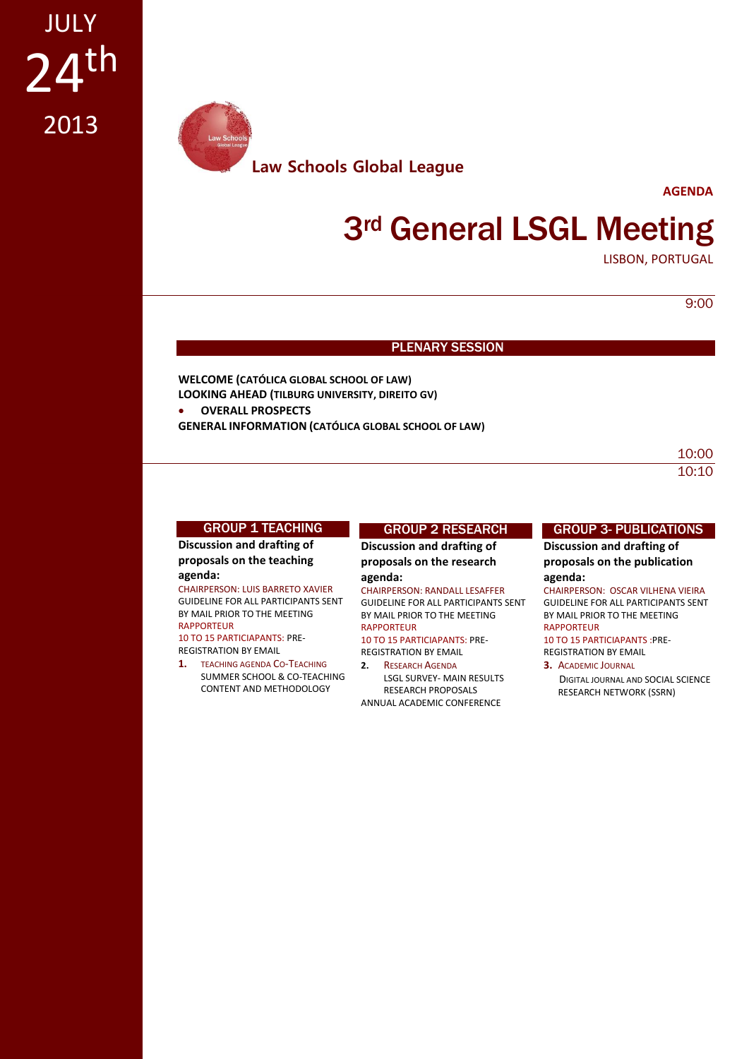

**AGENDA**

## **3rd General LSGL Meeting**

LISBON, PORTUGAL

9:00

### PLENARY SESSION

**WELCOME (CATÓLICA GLOBAL SCHOOL OF LAW) LOOKING AHEAD (TILBURG UNIVERSITY, DIREITO GV) OVERALL PROSPECTS**

**GENERAL INFORMATION (CATÓLICA GLOBAL SCHOOL OF LAW)**

10:00 10:10

### **GROUP 1 TEACHING**

**Discussion and drafting of proposals on the teaching** 

### **agenda:**

CHAIRPERSON: LUIS BARRETO XAVIER GUIDELINE FOR ALL PARTICIPANTS SENT BY MAIL PRIOR TO THE MEETING RAPPORTEUR

10 TO 15 PARTICIAPANTS: PRE-REGISTRATION BY EMAIL

**1.** TEACHING AGENDA CO-TEACHING SUMMER SCHOOL & CO-TEACHING CONTENT AND METHODOLOGY

### GROUP 2 RESEARCH

**Discussion and drafting of proposals on the research agenda:**

#### CHAIRPERSON: RANDALL LESAFFER

GUIDELINE FOR ALL PARTICIPANTS SENT BY MAIL PRIOR TO THE MEETING RAPPORTEUR 10 TO 15 PARTICIAPANTS: PRE-

REGISTRATION BY EMAIL

**2.** RESEARCH AGENDA LSGL SURVEY- MAIN RESULTS RESEARCH PROPOSALS ANNUAL ACADEMIC CONFERENCE

### GROUP 3- PUBLICATIONS

**Discussion and drafting of proposals on the publication agenda:**

CHAIRPERSON: OSCAR VILHENA VIEIRA GUIDELINE FOR ALL PARTICIPANTS SENT BY MAIL PRIOR TO THE MEETING RAPPORTEUR 10 TO 15 PARTICIAPANTS :PRE-

REGISTRATION BY EMAIL **3.** ACADEMIC JOURNAL

DIGITAL JOURNAL AND SOCIAL SCIENCE RESEARCH NETWORK (SSRN)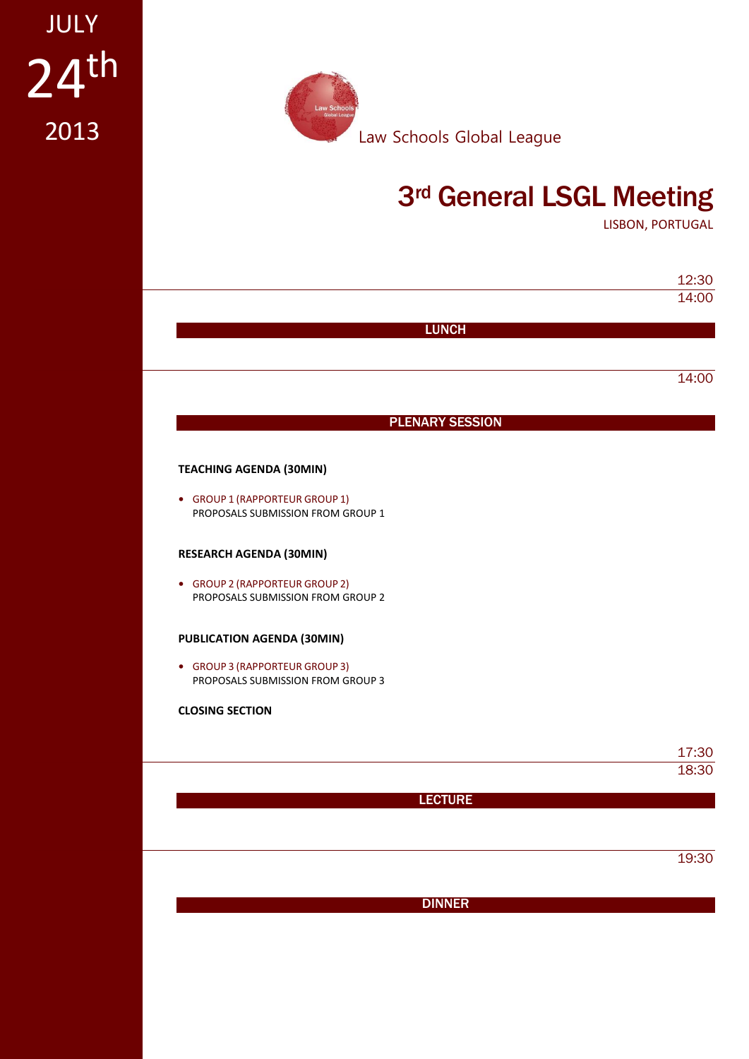# $24<sup>th</sup>$ JULY 2013



## 3rd General LSGL Meeting

LISBON, PORTUGAL

|                                                                     | 14:00 |
|---------------------------------------------------------------------|-------|
| <b>LUNCH</b>                                                        |       |
|                                                                     |       |
|                                                                     | 14:00 |
| <b>PLENARY SESSION</b>                                              |       |
| <b>TEACHING AGENDA (30MIN)</b>                                      |       |
| • GROUP 1 (RAPPORTEUR GROUP 1)<br>PROPOSALS SUBMISSION FROM GROUP 1 |       |
| <b>RESEARCH AGENDA (30MIN)</b>                                      |       |
| • GROUP 2 (RAPPORTEUR GROUP 2)<br>PROPOSALS SUBMISSION FROM GROUP 2 |       |
| PUBLICATION AGENDA (30MIN)                                          |       |
| • GROUP 3 (RAPPORTEUR GROUP 3)<br>PROPOSALS SUBMISSION FROM GROUP 3 |       |
| <b>CLOSING SECTION</b>                                              |       |
|                                                                     | 17:30 |
|                                                                     | 18:30 |
| <b>LECTURE</b>                                                      |       |
|                                                                     |       |
|                                                                     | 19:30 |
|                                                                     |       |
| <b>DINNER</b>                                                       |       |